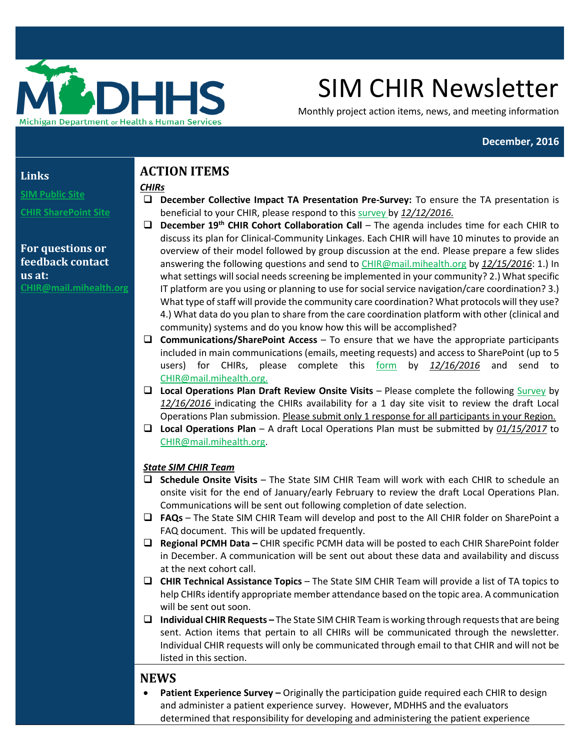

# SIM CHIR Newsletter

Monthly project action items, news, and meeting information

#### **December, 2016**

#### **Links**

**[SIM Public Site](https://public.mphi.org/sites/sim/Pages/default.aspx)**

**[CHIR SharePoint Site](https://stateofmichigan.sharepoint.com/teams/dhhs/bic/msacss/SIM/SitePages/CHIR.aspx)** 

## **For questions or feedback contact us at: C[HIR@mail.mihealth.org](mailto:CHIR@mail.mihealth.org)**

# **ACTION ITEMS**

## *CHIRs*

 **December Collective Impact TA Presentation Pre-Survey:** To ensure the TA presentation is beneficial to your CHIR, please respond to this [survey b](https://www.surveymonkey.com/r/CHIR-CI-PreSurvey)y *12/12/2016.*

- **December 19th CHIR Cohort Collaboration Call** The agenda includes time for each CHIR to discuss its plan for Clinical-Community Linkages. Each CHIR will have 10 minutes to provide an overview of their model followed by group discussion at the end. Please prepare a few slides answering the following questions and send t[o CHIR@mail.mihealth.org](mailto:CHIR@mail.mihealth.org) by *12/15/2016*: 1.) In what settings will social needs screening be implemented in your community? 2.) What specific IT platform are you using or planning to use for social service navigation/care coordination? 3.) What type of staff will provide the community care coordination? What protocols will they use? 4.) What data do you plan to share from the care coordination platform with other (clinical and community) systems and do you know how this will be accomplished?
- **Communications/SharePoint Access**  To ensure that we have the appropriate participants included in main communications (emails, meeting requests) and access to SharePoint (up to 5 users) for CHIRs, please complete this [form](https://stateofmichigan.sharepoint.com/teams/dhhs/bic/msacss/SIM/All%20CHIRs/Resources/CHIR%20Contact%20Information%20Change%20Form_Fillable.pdf) by *12/16/2016* and send to [CHIR@mail.mihealth.org.](mailto:CHIR@mail.mihealth.org)
- □ Local Operations Plan Draft Review Onsite Visits Please complete the following [Survey](https://www.surveymonkey.com/r/CHIRonsitevisit) by *12/16/2016* indicating the CHIRs availability for a 1 day site visit to review the draft Local Operations Plan submission. Please submit only 1 response for all participants in your Region.
- **Local Operations Plan** A draft Local Operations Plan must be submitted by *01/15/2017* to [CHIR@mail.mihealth.org.](mailto:CHIR@mail.mihealth.org)

## *State SIM CHIR Team*

- **Schedule Onsite Visits** The State SIM CHIR Team will work with each CHIR to schedule an onsite visit for the end of January/early February to review the draft Local Operations Plan. Communications will be sent out following completion of date selection.
- **FAQs**  The State SIM CHIR Team will develop and post to the All CHIR folder on SharePoint a FAQ document. This will be updated frequently.
- **Regional PCMH Data –** CHIR specific PCMH data will be posted to each CHIR SharePoint folder in December. A communication will be sent out about these data and availability and discuss at the next cohort call.
- **CHIR Technical Assistance Topics** The State SIM CHIR Team will provide a list of TA topics to help CHIRs identify appropriate member attendance based on the topic area. A communication will be sent out soon.
- **Individual CHIR Requests –** The State SIM CHIR Team is working through requests that are being sent. Action items that pertain to all CHIRs will be communicated through the newsletter. Individual CHIR requests will only be communicated through email to that CHIR and will not be listed in this section.

# **NEWS**

**• Patient Experience Survey – Originally the participation guide required each CHIR to design** and administer a patient experience survey. However, MDHHS and the evaluators determined that responsibility for developing and administering the patient experience